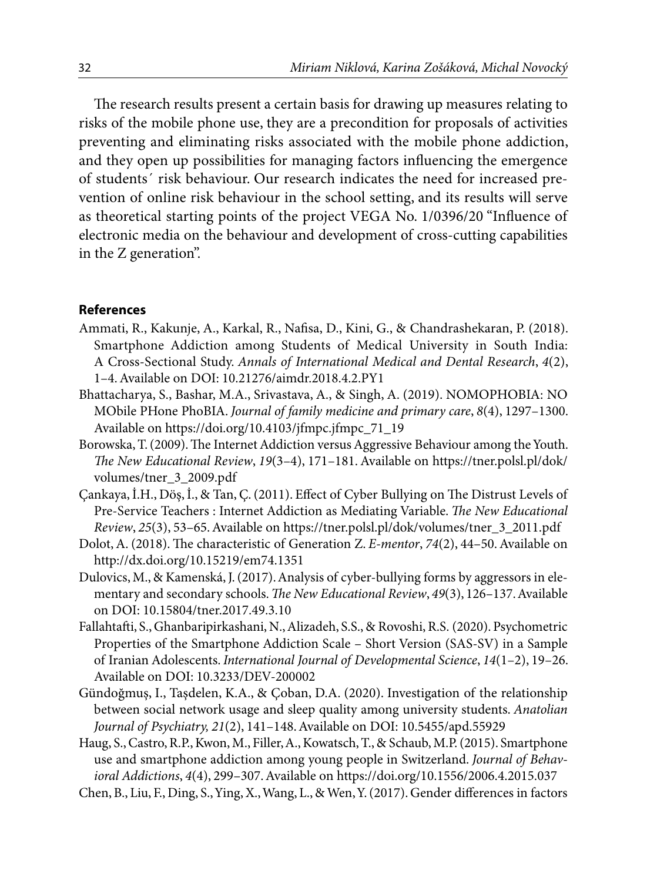The research results present a certain basis for drawing up measures relating to risks of the mobile phone use, they are a precondition for proposals of activities preventing and eliminating risks associated with the mobile phone addiction, and they open up possibilities for managing factors influencing the emergence of students´ risk behaviour. Our research indicates the need for increased prevention of online risk behaviour in the school setting, and its results will serve as theoretical starting points of the project VEGA No. 1/0396/20 "Influence of electronic media on the behaviour and development of cross-cutting capabilities in the Z generation".

## **References**

- Ammati, R., Kakunje, A., Karkal, R., Nafisa, D., Kini, G., & Chandrashekaran, P. (2018). Smartphone Addiction among Students of Medical University in South India: A Cross-Sectional Study. *Annals of International Medical and Dental Research*, *4*(2), 1–4. Available on DOI: 10.21276/aimdr.2018.4.2.PY1
- Bhattacharya, S., Bashar, M.A., Srivastava, A., & Singh, A. (2019). NOMOPHOBIA: NO MObile PHone PhoBIA. *Journal of family medicine and primary care*, *8*(4), 1297–1300. Available on https://doi.org/10.4103/jfmpc.jfmpc\_71\_19
- Borowska, T. (2009). The Internet Addiction versus Aggressive Behaviour among the Youth. *The New Educational Review*, *19*(3–4), 171–181. Available on https://tner.polsl.pl/dok/ volumes/tner\_3\_2009.pdf
- Çankaya, İ.H., Döş, İ., & Tan, Ç. (2011). Effect of Cyber Bullying on The Distrust Levels of Pre-Service Teachers : Internet Addiction as Mediating Variable. *The New Educational Review*, *25*(3), 53–65. Available on https://tner.polsl.pl/dok/volumes/tner\_3\_2011.pdf
- Dolot, A. (2018). The characteristic of Generation Z. *E-mentor*, *74*(2), 44–50. Available on http://dx.doi.org/10.15219/em74.1351
- Dulovics, M., & Kamenská, J. (2017). Analysis of cyber-bullying forms by aggressors in elementary and secondary schools. *The New Educational Review*, *49*(3), 126–137. Available on DOI: 10.15804/tner.2017.49.3.10
- Fallahtafti, S., Ghanbaripirkashani, N., Alizadeh, S.S., & Rovoshi, R.S. (2020). Psychometric Properties of the Smartphone Addiction Scale – Short Version (SAS-SV) in a Sample of Iranian Adolescents. *International Journal of Developmental Science*, *14*(1–2), 19–26. Available on DOI: 10.3233/DEV-200002
- Gündoğmuş, I., Taşdelen, K.A., & Çoban, D.A. (2020). Investigation of the relationship between social network usage and sleep quality among university students. *Anatolian Journal of Psychiatry, 21*(2), 141–148. Available on DOI: 10.5455/apd.55929
- Haug, S., Castro, R.P., Kwon, M., Filler, A., Kowatsch, T., & Schaub, M.P. (2015). Smartphone use and smartphone addiction among young people in Switzerland. *Journal of Behavioral Addictions*, *4*(4), 299–307. Available on https://doi.org/10.1556/2006.4.2015.037
- Chen, B., Liu, F., Ding, S., Ying, X., Wang, L., & Wen, Y. (2017). Gender differences in factors